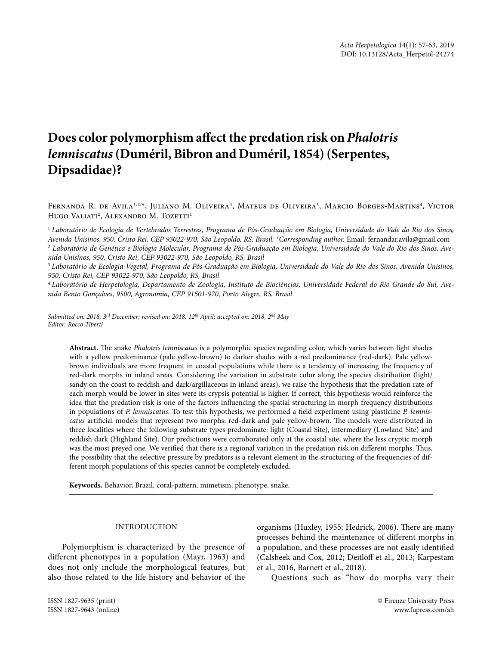# **Does color polymorphism affect the predation risk on** *Phalotris lemniscatus* **(Duméril, Bibron and Duméril, 1854) (Serpentes, Dipsadidae)?**

FERNANDA R. DE AVILA<sup>1,2,\*</sup>, JULIANO M. OLIVEIRA<sup>3</sup>, MATEUS DE OLIVEIRA<sup>1</sup>, MARCIO BORGES-MARTINS<sup>4</sup>, VICTOR Hugo Valiati<sup>2</sup>, Alexandro M. Tozetti<sup>1</sup>

<sup>1</sup> *Laboratório de Ecologia de Vertebrados Terrestres, Programa de Pós-Graduação em Biologia, Universidade do Vale do Rio dos Sinos, Avenida Unisinos, 950, Cristo Rei, CEP 93022-970, São Leopoldo, RS, Brasil. \*Corresponding author.* Email: fernandar.avila@gmail.com 2  *Laboratório de Genética e Biologia Molecular, Programa de Pós-Graduação em Biologia, Universidade do Vale do Rio dos Sinos, Ave-*

*nida Unisinos, 950, Cristo Rei, CEP 93022-970, São Leopoldo, RS, Brasil*

<sup>3</sup> *Laboratório de Ecologia Vegetal, Programa de Pós-Graduação em Biologia, Universidade do Vale do Rio dos Sinos, Avenida Unisinos, 950, Cristo Rei, CEP 93022-970, São Leopoldo, RS, Brasil*

<sup>4</sup> *Laboratório de Herpetologia, Departamento de Zoologia, Instituto de Biociências, Universidade Federal do Rio Grande do Sul, Avenida Bento Gonçalves, 9500, Agronomia, CEP 91501-970, Porto Alegre, RS, Brasil*

*Submitted on: 2018, 3rd December; revised on: 2018, 12th April; accepted on: 2018, 2nd May Editor: Rocco Tiberti* 

**Abstract.** The snake *Phalotris lemniscatus* is a polymorphic species regarding color, which varies between light shades with a yellow predominance (pale yellow-brown) to darker shades with a red predominance (red-dark). Pale yellowbrown individuals are more frequent in coastal populations while there is a tendency of increasing the frequency of red-dark morphs in inland areas. Considering the variation in substrate color along the species distribution (light/ sandy on the coast to reddish and dark/argillaceous in inland areas), we raise the hypothesis that the predation rate of each morph would be lower in sites were its crypsis potential is higher. If correct, this hypothesis would reinforce the idea that the predation risk is one of the factors influencing the spatial structuring in morph frequency distributions in populations of *P. lemniscatus*. To test this hypothesis, we performed a field experiment using plasticine *P. lemniscatus* artificial models that represent two morphs: red-dark and pale yellow-brown. The models were distributed in three localities where the following substrate types predominate: light (Coastal Site), intermediary (Lowland Site) and reddish dark (Highland Site). Our predictions were corroborated only at the coastal site, where the less cryptic morph was the most preyed one. We verified that there is a regional variation in the predation risk on different morphs. Thus, the possibility that the selective pressure by predators is a relevant element in the structuring of the frequencies of different morph populations of this species cannot be completely excluded.

**Keywords.** Behavior, Brazil, coral-pattern, mimetism, phenotype, snake.

## INTRODUCTION

Polymorphism is characterized by the presence of different phenotypes in a population (Mayr, 1963) and does not only include the morphological features, but also those related to the life history and behavior of the

organisms (Huxley, 1955; Hedrick, 2006). There are many processes behind the maintenance of different morphs in a population, and these processes are not easily identified (Calsbeek and Cox, 2012; Deitloff et al., 2013; Karpestam et al., 2016, Barnett et al., 2018).

Questions such as "how do morphs vary their

ISSN 1827-9635 (print) © Firenze University Press

ISSN 1827-9643 (online) www.fupress.com/ah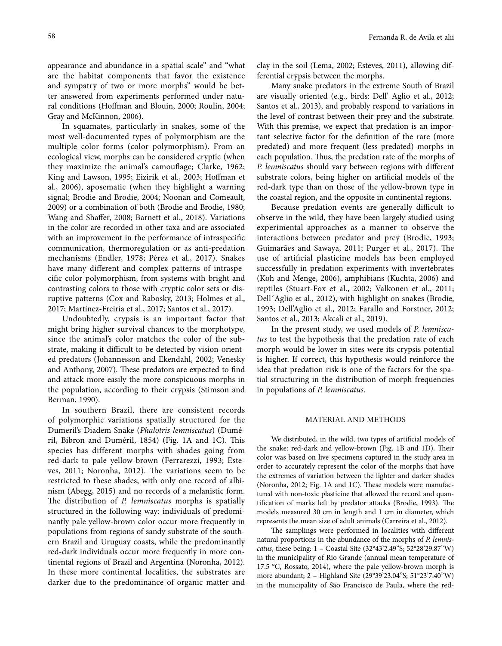appearance and abundance in a spatial scale" and "what are the habitat components that favor the existence and sympatry of two or more morphs" would be better answered from experiments performed under natural conditions (Hoffman and Blouin, 2000; Roulin, 2004; Gray and McKinnon, 2006).

In squamates, particularly in snakes, some of the most well-documented types of polymorphism are the multiple color forms (color polymorphism). From an ecological view, morphs can be considered cryptic (when they maximize the animal's camouflage; Clarke, 1962; King and Lawson, 1995; Eizirik et al., 2003; Hoffman et al., 2006), aposematic (when they highlight a warning signal; Brodie and Brodie, 2004; Noonan and Comeault, 2009) or a combination of both (Brodie and Brodie, 1980; Wang and Shaffer, 2008; Barnett et al., 2018). Variations in the color are recorded in other taxa and are associated with an improvement in the performance of intraspecific communication, thermoregulation or as anti-predation mechanisms (Endler, 1978; Pérez et al., 2017). Snakes have many different and complex patterns of intraspecific color polymorphism, from systems with bright and contrasting colors to those with cryptic color sets or disruptive patterns (Cox and Rabosky, 2013; Holmes et al., 2017; Martínez-Freiría et al., 2017; Santos et al., 2017).

Undoubtedly, crypsis is an important factor that might bring higher survival chances to the morphotype, since the animal's color matches the color of the substrate, making it difficult to be detected by vision-oriented predators (Johannesson and Ekendahl, 2002; Venesky and Anthony, 2007). These predators are expected to find and attack more easily the more conspicuous morphs in the population, according to their crypsis (Stimson and Berman, 1990).

In southern Brazil, there are consistent records of polymorphic variations spatially structured for the Dumeril's Diadem Snake (*Phalotris lemniscatus*) (Duméril, Bibron and Duméril, 1854) (Fig. 1A and 1C). This species has different morphs with shades going from red-dark to pale yellow-brown (Ferrarezzi, 1993; Esteves, 2011; Noronha, 2012). The variations seem to be restricted to these shades, with only one record of albinism (Abegg, 2015) and no records of a melanistic form. The distribution of *P. lemniscatus* morphs is spatially structured in the following way: individuals of predominantly pale yellow-brown color occur more frequently in populations from regions of sandy substrate of the southern Brazil and Uruguay coasts, while the predominantly red-dark individuals occur more frequently in more continental regions of Brazil and Argentina (Noronha, 2012). In these more continental localities, the substrates are darker due to the predominance of organic matter and

clay in the soil (Lema, 2002; Esteves, 2011), allowing differential crypsis between the morphs.

Many snake predators in the extreme South of Brazil are visually oriented (e.g., birds: Dell' Aglio et al., 2012; Santos et al., 2013), and probably respond to variations in the level of contrast between their prey and the substrate. With this premise, we expect that predation is an important selective factor for the definition of the rare (more predated) and more frequent (less predated) morphs in each population. Thus, the predation rate of the morphs of *P. lemniscatus* should vary between regions with different substrate colors, being higher on artificial models of the red-dark type than on those of the yellow-brown type in the coastal region, and the opposite in continental regions.

Because predation events are generally difficult to observe in the wild, they have been largely studied using experimental approaches as a manner to observe the interactions between predator and prey (Brodie, 1993; Guimarães and Sawaya, 2011; Purger et al., 2017). The use of artificial plasticine models has been employed successfully in predation experiments with invertebrates (Koh and Menge, 2006), amphibians (Kuchta, 2006) and reptiles (Stuart-Fox et al., 2002; Valkonen et al., 2011; Dell´Aglio et al., 2012), with highlight on snakes (Brodie, 1993; Dell'Aglio et al., 2012; Farallo and Forstner, 2012; Santos et al., 2013; Akcali et al., 2019).

In the present study, we used models of *P. lemniscatus* to test the hypothesis that the predation rate of each morph would be lower in sites were its crypsis potential is higher. If correct, this hypothesis would reinforce the idea that predation risk is one of the factors for the spatial structuring in the distribution of morph frequencies in populations of *P. lemniscatus*.

## MATERIAL AND METHODS

We distributed, in the wild, two types of artificial models of the snake: red-dark and yellow-brown (Fig. 1B and 1D). Their color was based on live specimens captured in the study area in order to accurately represent the color of the morphs that have the extremes of variation between the lighter and darker shades (Noronha, 2012; Fig. 1A and 1C). These models were manufactured with non-toxic plasticine that allowed the record and quantification of marks left by predator attacks (Brodie, 1993). The models measured 30 cm in length and 1 cm in diameter, which represents the mean size of adult animals (Carreira et al., 2012).

The samplings were performed in localities with different natural proportions in the abundance of the morphs of *P. lemniscatus*, these being: 1 – Coastal Site (32°43'2.49"S; 52°28'29.87"W) in the municipality of Rio Grande (annual mean temperature of 17.5 °C, Rossato, 2014), where the pale yellow-brown morph is more abundant; 2 – Highland Site (29°39'23.04"S; 51°23'7.40"W) in the municipality of São Francisco de Paula, where the red-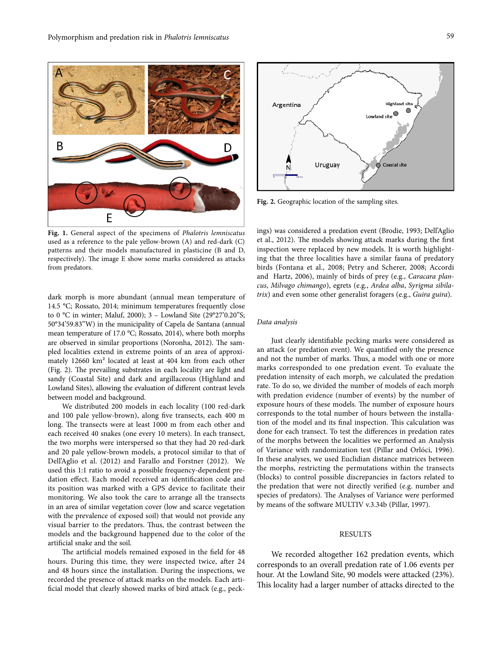

**Fig. 1.** General aspect of the specimens of *Phalotris lemniscatus* used as a reference to the pale yellow-brown (A) and red-dark (C) patterns and their models manufactured in plasticine (B and D, respectively). The image E show some marks considered as attacks from predators.

dark morph is more abundant (annual mean temperature of 14.5 °C; Rossato, 2014; minimum temperatures frequently close to 0 °C in winter; Maluf, 2000); 3 – Lowland Site (29°27'0.20"S; 50°34'59.83"W) in the municipality of Capela de Santana (annual mean temperature of 17.0 °C; Rossato, 2014), where both morphs are observed in similar proportions (Noronha, 2012). The sampled localities extend in extreme points of an area of approximately 12660 km² located at least at 404 km from each other (Fig. 2). The prevailing substrates in each locality are light and sandy (Coastal Site) and dark and argillaceous (Highland and Lowland Sites), allowing the evaluation of different contrast levels between model and background.

We distributed 200 models in each locality (100 red-dark and 100 pale yellow-brown), along five transects, each 400 m long. The transects were at least 1000 m from each other and each received 40 snakes (one every 10 meters). In each transect, the two morphs were interspersed so that they had 20 red-dark and 20 pale yellow-brown models, a protocol similar to that of Dell'Aglio et al. (2012) and Farallo and Forstner (2012). We used this 1:1 ratio to avoid a possible frequency-dependent predation effect. Each model received an identification code and its position was marked with a GPS device to facilitate their monitoring. We also took the care to arrange all the transects in an area of similar vegetation cover (low and scarce vegetation with the prevalence of exposed soil) that would not provide any visual barrier to the predators. Thus, the contrast between the models and the background happened due to the color of the artificial snake and the soil.

The artificial models remained exposed in the field for 48 hours. During this time, they were inspected twice, after 24 and 48 hours since the installation. During the inspections, we recorded the presence of attack marks on the models. Each artificial model that clearly showed marks of bird attack (e.g., peck-



**Fig. 2.** Geographic location of the sampling sites.

ings) was considered a predation event (Brodie, 1993; Dell'Aglio et al., 2012). The models showing attack marks during the first inspection were replaced by new models. It is worth highlighting that the three localities have a similar fauna of predatory birds (Fontana et al., 2008; Petry and Scherer, 2008; Accordi and Hartz, 2006), mainly of birds of prey (e.g., *Caracara plancus*, *Milvago chimango*), egrets (e.g., *Ardea alba*, *Syrigma sibilatrix*) and even some other generalist foragers (e.g., *Guira guira*).

#### *Data analysis*

Just clearly identifiable pecking marks were considered as an attack (or predation event). We quantified only the presence and not the number of marks. Thus, a model with one or more marks corresponded to one predation event. To evaluate the predation intensity of each morph, we calculated the predation rate. To do so, we divided the number of models of each morph with predation evidence (number of events) by the number of exposure hours of these models. The number of exposure hours corresponds to the total number of hours between the installation of the model and its final inspection. This calculation was done for each transect. To test the differences in predation rates of the morphs between the localities we performed an Analysis of Variance with randomization test (Pillar and Orlóci, 1996). In these analyses, we used Euclidian distance matrices between the morphs, restricting the permutations within the transects (blocks) to control possible discrepancies in factors related to the predation that were not directly verified (e.g. number and species of predators). The Analyses of Variance were performed by means of the software MULTIV v.3.34b (Pillar, 1997).

## RESULTS

We recorded altogether 162 predation events, which corresponds to an overall predation rate of 1.06 events per hour. At the Lowland Site, 90 models were attacked (23%). This locality had a larger number of attacks directed to the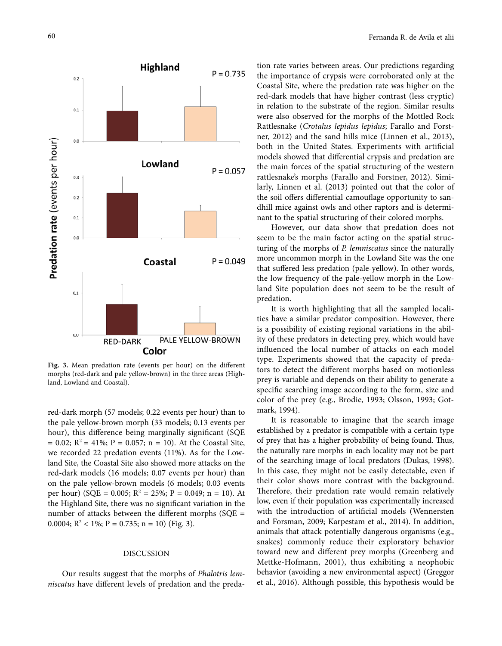

**Fig. 3.** Mean predation rate (events per hour) on the different morphs (red-dark and pale yellow-brown) in the three areas (Highland, Lowland and Coastal).

red-dark morph (57 models; 0.22 events per hour) than to the pale yellow-brown morph (33 models; 0.13 events per hour), this difference being marginally significant (SQE  $= 0.02$ ; R<sup>2</sup> = 41%; P = 0.057; n = 10). At the Coastal Site, we recorded 22 predation events (11%). As for the Lowland Site, the Coastal Site also showed more attacks on the red-dark models (16 models; 0.07 events per hour) than on the pale yellow-brown models (6 models; 0.03 events per hour) (SQE = 0.005;  $R^2 = 25\%$ ; P = 0.049; n = 10). At the Highland Site, there was no significant variation in the number of attacks between the different morphs (SQE = 0.0004;  $R^2 < 1\%$ ;  $P = 0.735$ ;  $n = 10$ ) (Fig. 3).

### DISCUSSION

Our results suggest that the morphs of *Phalotris lemniscatus* have different levels of predation and the preda-

tion rate varies between areas. Our predictions regarding the importance of crypsis were corroborated only at the Coastal Site, where the predation rate was higher on the red-dark models that have higher contrast (less cryptic) in relation to the substrate of the region. Similar results were also observed for the morphs of the Mottled Rock Rattlesnake (*Crotalus lepidus lepidus*; Farallo and Forstner, 2012) and the sand hills mice (Linnen et al., 2013), both in the United States. Experiments with artificial models showed that differential crypsis and predation are the main forces of the spatial structuring of the western rattlesnake's morphs (Farallo and Forstner, 2012). Similarly, Linnen et al. (2013) pointed out that the color of the soil offers differential camouflage opportunity to sandhill mice against owls and other raptors and is determinant to the spatial structuring of their colored morphs.

However, our data show that predation does not seem to be the main factor acting on the spatial structuring of the morphs of *P. lemniscatus* since the naturally more uncommon morph in the Lowland Site was the one that suffered less predation (pale-yellow). In other words, the low frequency of the pale-yellow morph in the Lowland Site population does not seem to be the result of predation.

It is worth highlighting that all the sampled localities have a similar predator composition. However, there is a possibility of existing regional variations in the ability of these predators in detecting prey, which would have influenced the local number of attacks on each model type. Experiments showed that the capacity of predators to detect the different morphs based on motionless prey is variable and depends on their ability to generate a specific searching image according to the form, size and color of the prey (e.g., Brodie, 1993; Olsson, 1993; Gotmark, 1994).

It is reasonable to imagine that the search image established by a predator is compatible with a certain type of prey that has a higher probability of being found. Thus, the naturally rare morphs in each locality may not be part of the searching image of local predators (Dukas, 1998). In this case, they might not be easily detectable, even if their color shows more contrast with the background. Therefore, their predation rate would remain relatively low, even if their population was experimentally increased with the introduction of artificial models (Wennersten and Forsman, 2009; Karpestam et al., 2014). In addition, animals that attack potentially dangerous organisms (e.g., snakes) commonly reduce their exploratory behavior toward new and different prey morphs (Greenberg and Mettke-Hofmann, 2001), thus exhibiting a neophobic behavior (avoiding a new environmental aspect) (Greggor et al., 2016). Although possible, this hypothesis would be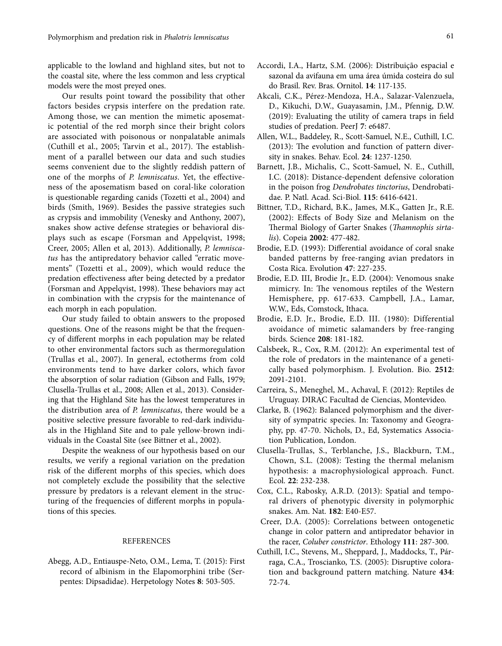applicable to the lowland and highland sites, but not to the coastal site, where the less common and less cryptical models were the most preyed ones.

Our results point toward the possibility that other factors besides crypsis interfere on the predation rate. Among those, we can mention the mimetic aposematic potential of the red morph since their bright colors are associated with poisonous or nonpalatable animals (Cuthill et al., 2005; Tarvin et al., 2017). The establishment of a parallel between our data and such studies seems convenient due to the slightly reddish pattern of one of the morphs of *P. lemniscatus*. Yet, the effectiveness of the aposematism based on coral-like coloration is questionable regarding canids (Tozetti et al., 2004) and birds (Smith, 1969). Besides the passive strategies such as crypsis and immobility (Venesky and Anthony, 2007), snakes show active defense strategies or behavioral displays such as escape (Forsman and Appelqvist, 1998; Creer, 2005; Allen et al, 2013). Additionally, *P. lemniscatus* has the antipredatory behavior called "erratic movements" (Tozetti et al., 2009), which would reduce the predation effectiveness after being detected by a predator (Forsman and Appelqvist, 1998). These behaviors may act in combination with the crypsis for the maintenance of each morph in each population.

Our study failed to obtain answers to the proposed questions. One of the reasons might be that the frequency of different morphs in each population may be related to other environmental factors such as thermoregulation (Trullas et al., 2007). In general, ectotherms from cold environments tend to have darker colors, which favor the absorption of solar radiation (Gibson and Falls, 1979; Clusella‐Trullas et al., 2008; Allen et al., 2013). Considering that the Highland Site has the lowest temperatures in the distribution area of *P. lemniscatus*, there would be a positive selective pressure favorable to red-dark individuals in the Highland Site and to pale yellow-brown individuals in the Coastal Site (see Bittner et al., 2002).

Despite the weakness of our hypothesis based on our results, we verify a regional variation on the predation risk of the different morphs of this species, which does not completely exclude the possibility that the selective pressure by predators is a relevant element in the structuring of the frequencies of different morphs in populations of this species.

## REFERENCES

Abegg, A.D., Entiauspe-Neto, O.M., Lema, T. (2015): First record of albinism in the Elapomorphini tribe (Serpentes: Dipsadidae). Herpetology Notes **8**: 503-505.

- Accordi, I.A., Hartz, S.M. (2006): Distribuição espacial e sazonal da avifauna em uma área úmida costeira do sul do Brasil. Rev. Bras. Ornitol. **14**: 117-135.
- Akcali, C.K., Pérez-Mendoza, H.A., Salazar-Valenzuela, D., Kikuchi, D.W., Guayasamin, J.M., Pfennig, D.W. (2019): Evaluating the utility of camera traps in field studies of predation. PeerJ **7**: e6487.
- Allen, W.L., Baddeley, R., Scott-Samuel, N.E., Cuthill, I.C. (2013): The evolution and function of pattern diversity in snakes. Behav. Ecol. **24**: 1237-1250.
- Barnett, J.B., Michalis, C., Scott-Samuel, N. E., Cuthill, I.C. (2018): Distance-dependent defensive coloration in the poison frog *Dendrobates tinctorius*, Dendrobatidae. P. Natl. Acad. Sci-Biol. **115**: 6416-6421.
- Bittner, T.D., Richard, B.K., James, M.K., Gatten Jr., R.E. (2002): Effects of Body Size and Melanism on the Thermal Biology of Garter Snakes (*Thamnophis sirtalis*). Copeia **2002**: 477-482.
- Brodie, E.D. (1993): Differential avoidance of coral snake banded patterns by free-ranging avian predators in Costa Rica. Evolution **47**: 227-235.
- Brodie, E.D. III, Brodie Jr., E.D. (2004): Venomous snake mimicry. In: The venomous reptiles of the Western Hemisphere, pp. 617-633. Campbell, J.A., Lamar, W.W., Eds, Comstock, Ithaca.
- Brodie, E.D. Jr., Brodie, E.D. III. (1980): Differential avoidance of mimetic salamanders by free-ranging birds. Science **208**: 181-182.
- Calsbeek, R., Cox, R.M. (2012): An experimental test of the role of predators in the maintenance of a genetically based polymorphism. J. Evolution. Bio. **2512**: 2091-2101.
- Carreira, S., Meneghel, M., Achaval, F. (2012): Reptiles de Uruguay. DIRAC Facultad de Ciencias, Montevideo.
- Clarke, B. (1962): Balanced polymorphism and the diversity of sympatric species. In: Taxonomy and Geography, pp. 47-70. Nichols, D., Ed, Systematics Association Publication, London.
- Clusella‐Trullas, S., Terblanche, J.S., Blackburn, T.M., Chown, S.L. (2008): Testing the thermal melanism hypothesis: a macrophysiological approach. Funct. Ecol. **22**: 232-238.
- Cox, C.L., Rabosky, A.R.D. (2013): Spatial and temporal drivers of phenotypic diversity in polymorphic snakes. Am. Nat. **182**: E40-E57.
- Creer, D.A. (2005): Correlations between ontogenetic change in color pattern and antipredator behavior in the racer, *Coluber constrictor*. Ethology **111**: 287-300.
- Cuthill, I.C., Stevens, M., Sheppard, J., Maddocks, T., Párraga, C.A., Troscianko, T.S. (2005): Disruptive coloration and background pattern matching. Nature **434**: 72-74.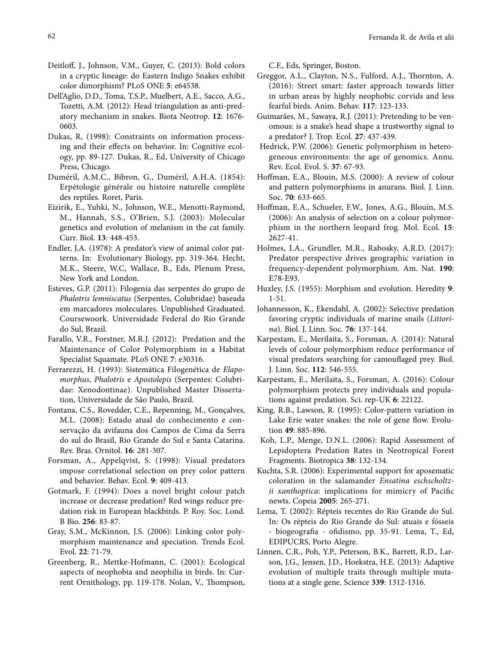- Deitloff, J., Johnson, V.M., Guyer, C. (2013): Bold colors in a cryptic lineage: do Eastern Indigo Snakes exhibit color dimorphism? PLoS ONE **5**: e64538.
- Dell'Aglio, D.D., Toma, T.S.P., Muelbert, A.E., Sacco, A.G., Tozetti, A.M. (2012): Head triangulation as anti-predatory mechanism in snakes. Biota Neotrop. **12**: 1676- 0603.
- Dukas, R, (1998): Constraints on information processing and their effects on behavior. In: Cognitive ecology, pp. 89-127. Dukas, R., Ed, University of Chicago Press, Chicago.
- Duméril, A.M.C., Bibron, G., Duméril, A.H.A. (1854): Erpétologie générale ou histoire naturelle complète des reptiles. Roret, Paris.
- Eizirik, E., Yuhki, N., Johnson, W.E., Menotti-Raymond, M., Hannah, S.S., O'Brien, S.J. (2003): Molecular genetics and evolution of melanism in the cat family. Curr. Biol. **13**: 448-453.
- Endler, J.A. (1978): A predator's view of animal color patterns. In: Evolutionary Biology, pp. 319-364. Hecht, M.K., Steere, W.C, Wallace, B., Eds, Plenum Press, New York and London.
- Esteves, G.P. (2011): Filogenia das serpentes do grupo de *Phalotris lemniscatus* (Serpentes, Colubridae) baseada em marcadores moleculares. Unpublished Graduated. Coursewoork. Universidade Federal do Rio Grande do Sul, Brazil.
- Farallo, V.R., Forstner, M.R.J. (2012): Predation and the Maintenance of Color Polymorphism in a Habitat Specialist Squamate. PLoS ONE **7**: e30316.
- Ferrarezzi, H. (1993): Sistemática Filogenética de *Elapomorphus*, *Phalotris* e *Apostolepis* (Serpentes: Colubridae: Xenodontinae). Unpublished Master Dissertation, Universidade de São Paulo, Brazil.
- Fontana, C.S., Rovedder, C.E., Repenning, M., Gonçalves, M.L. (2008): Estado atual do conhecimento e conservação da avifauna dos Campos de Cima da Serra do sul do Brasil, Rio Grande do Sul e Santa Catarina. Rev. Bras. Ornitol. **16**: 281-307.
- Forsman, A., Appelqvist, S. (1998): Visual predators impose correlational selection on prey color pattern and behavior. Behav. Ecol. **9**: 409-413.
- Gotmark, F. (1994): Does a novel bright colour patch increase or decrease predation? Red wings reduce predation risk in European blackbirds. P. Roy. Soc. Lond. B Bio. **256**: 83-87.
- Gray, S.M., McKinnon, J.S. (2006): Linking color polymorphism maintenance and speciation. Trends Ecol. Evol. **22**: 71-79.
- Greenberg, R., Mettke-Hofmann, C. (2001): Ecological aspects of neophobia and neophilia in birds. In: Current Ornithology, pp. 119-178. Nolan, V., Thompson,

C.F., Eds, Springer, Boston.

- Greggor, A.L., Clayton, N.S., Fulford, A.J., Thornton, A. (2016): Street smart: faster approach towards litter in urban areas by highly neophobic corvids and less fearful birds. Anim. Behav. **117**: 123-133.
- Guimarães, M., Sawaya, R.J. (2011): Pretending to be venomous: is a snake's head shape a trustworthy signal to a predator? J. Trop. Ecol. **27**: 437-439.
- Hedrick, P.W. (2006): Genetic polymorphism in heterogeneous environments: the age of genomics. Annu. Rev. Ecol. Evol. S. **37**: 67-93.
- Hoffman, E.A., Blouin, M.S. (2000): A review of colour and pattern polymorphisms in anurans. Biol. J. Linn. Soc. **70**: 633-665.
- Hoffman, E.A., Schueler, F.W., Jones, A.G., Blouin, M.S. (2006): An analysis of selection on a colour polymorphism in the northern leopard frog. Mol. Ecol. **15**: 2627-41.
- Holmes, I.A., Grundler, M.R., Rabosky, A.R.D. (2017): Predator perspective drives geographic variation in frequency-dependent polymorphism. Am. Nat. **190**: E78-E93.
- Huxley, J.S. (1955): Morphism and evolution. Heredity **9**: 1-51.
- Johannesson, K., Ekendahl, A. (2002): Selective predation favoring cryptic individuals of marine snails (*Littorina*). Biol. J. Linn. Soc. **76**: 137-144.
- Karpestam, E., Merilaita, S., Forsman, A. (2014): Natural levels of colour polymorphism reduce performance of visual predators searching for camouflaged prey. Biol. J. Linn. Soc. **112**: 546-555.
- Karpestam, E., Merilaita, S., Forsman, A. (2016): Colour polymorphism protects prey individuals and populations against predation. Sci. rep-UK **6**: 22122.
- King, R.B., Lawson, R. (1995): Color-pattern variation in Lake Erie water snakes: the role of gene flow. Evolution **49**: 885-896.
- Koh, L.P., Menge, D.N.L. (2006): Rapid Assessment of Lepidoptera Predation Rates in Neotropical Forest Fragments. Biotropica **38**: 132-134.
- Kuchta, S.R. (2006): Experimental support for aposematic coloration in the salamander *Ensatina eschscholtzii xanthoptica*: implications for mimicry of Pacific newts. Copeia **2005**: 265-271.
- Lema, T. (2002): Répteis recentes do Rio Grande do Sul. In: Os répteis do Rio Grande do Sul: atuais e fósseis - biogeografia - ofidismo, pp. 35-91. Lema, T., Ed, EDIPUCRS, Porto Alegre.
- Linnen, C.R., Poh, Y.P., Peterson, B.K., Barrett, R.D., Larson, J.G., Jensen, J.D., Hoekstra, H.E. (2013): Adaptive evolution of multiple traits through multiple mutations at a single gene. Science **339**: 1312-1316.